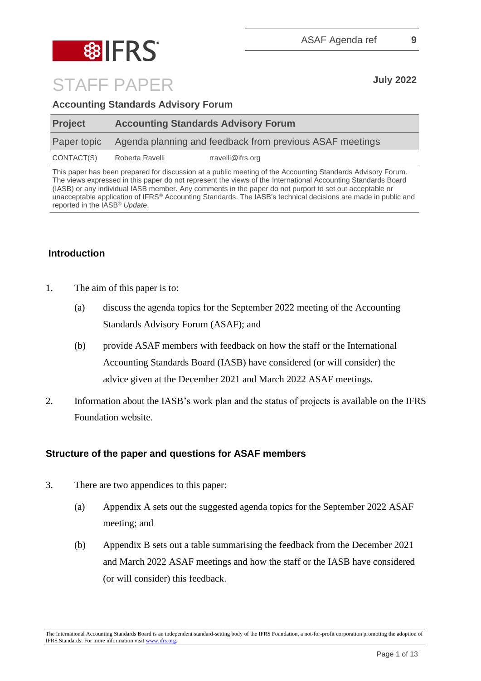

| <b>Accounting Standards Advisory Forum</b> |  |  |
|--------------------------------------------|--|--|
|                                            |  |  |

| <b>Project</b> | <b>Accounting Standards Advisory Forum</b> |                                                          |  |
|----------------|--------------------------------------------|----------------------------------------------------------|--|
| Paper topic    |                                            | Agenda planning and feedback from previous ASAF meetings |  |
| CONTACT(S)     | Roberta Ravelli                            | rravelli@ifrs.org                                        |  |

This paper has been prepared for discussion at a public meeting of the Accounting Standards Advisory Forum. The views expressed in this paper do not represent the views of the International Accounting Standards Board (IASB) or any individual IASB member. Any comments in the paper do not purport to set out acceptable or unacceptable application of IFRS® Accounting Standards. The IASB's technical decisions are made in public and reported in the IASB® *Update*.

## **Introduction**

- 1. The aim of this paper is to:
	- (a) discuss the agenda topics for the September 2022 meeting of the Accounting Standards Advisory Forum (ASAF); and
	- (b) provide ASAF members with feedback on how the staff or the International Accounting Standards Board (IASB) have considered (or will consider) the advice given at the December 2021 and March 2022 ASAF meetings.
- 2. Information about the IASB's work plan and the status of projects is available on the IFRS Foundation website.

### **Structure of the paper and questions for ASAF members**

- 3. There are two appendices to this paper:
	- (a) Appendix A sets out the suggested agenda topics for the September 2022 ASAF meeting; and
	- (b) Appendix B sets out a table summarising the feedback from the December 2021 and March 2022 ASAF meetings and how the staff or the IASB have considered (or will consider) this feedback.

The International Accounting Standards Board is an independent standard-setting body of the IFRS Foundation, a not-for-profit corporation promoting the adoption of IFRS Standards. For more information visit [www.ifrs.org.](http://www.ifrs.org/)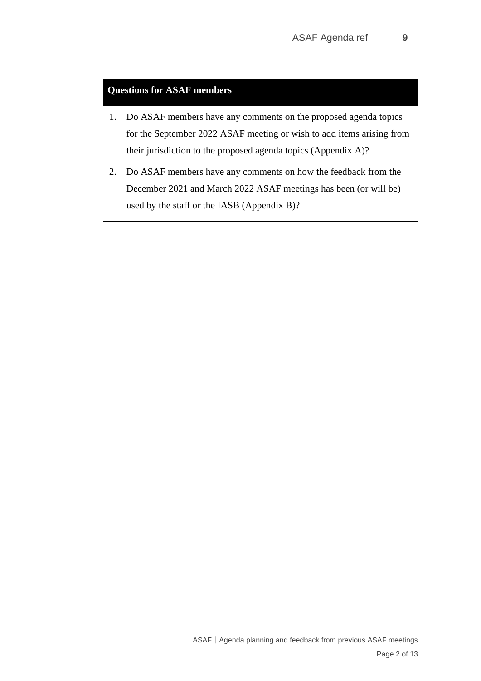### **Questions for ASAF members**

- 1. Do ASAF members have any comments on the proposed agenda topics for the September 2022 ASAF meeting or wish to add items arising from their jurisdiction to the proposed agenda topics (Appendix A)?
- 2. Do ASAF members have any comments on how the feedback from the December 2021 and March 2022 ASAF meetings has been (or will be) used by the staff or the IASB (Appendix B)?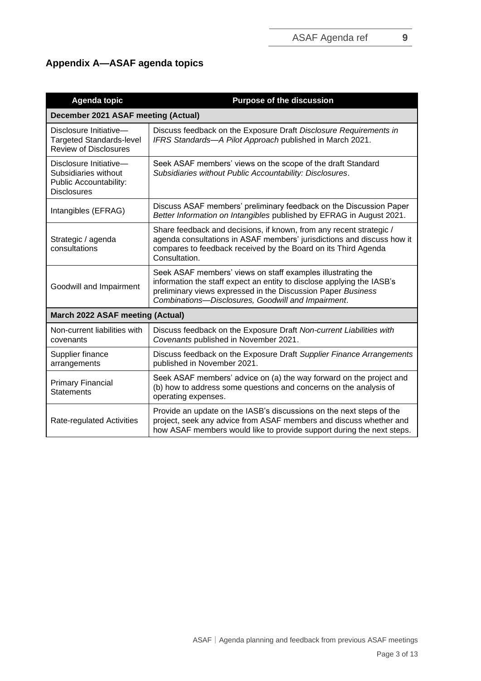# **Appendix A—ASAF agenda topics**

| <b>Agenda topic</b>                                                                            | <b>Purpose of the discussion</b>                                                                                                                                                                                                                            |
|------------------------------------------------------------------------------------------------|-------------------------------------------------------------------------------------------------------------------------------------------------------------------------------------------------------------------------------------------------------------|
| December 2021 ASAF meeting (Actual)                                                            |                                                                                                                                                                                                                                                             |
| Disclosure Initiative-<br><b>Targeted Standards-level</b><br><b>Review of Disclosures</b>      | Discuss feedback on the Exposure Draft Disclosure Requirements in<br>IFRS Standards-A Pilot Approach published in March 2021.                                                                                                                               |
| Disclosure Initiative-<br>Subsidiaries without<br>Public Accountability:<br><b>Disclosures</b> | Seek ASAF members' views on the scope of the draft Standard<br>Subsidiaries without Public Accountability: Disclosures.                                                                                                                                     |
| Intangibles (EFRAG)                                                                            | Discuss ASAF members' preliminary feedback on the Discussion Paper<br>Better Information on Intangibles published by EFRAG in August 2021.                                                                                                                  |
| Strategic / agenda<br>consultations                                                            | Share feedback and decisions, if known, from any recent strategic /<br>agenda consultations in ASAF members' jurisdictions and discuss how it<br>compares to feedback received by the Board on its Third Agenda<br>Consultation.                            |
| Goodwill and Impairment                                                                        | Seek ASAF members' views on staff examples illustrating the<br>information the staff expect an entity to disclose applying the IASB's<br>preliminary views expressed in the Discussion Paper Business<br>Combinations-Disclosures, Goodwill and Impairment. |
| March 2022 ASAF meeting (Actual)                                                               |                                                                                                                                                                                                                                                             |
| Non-current liabilities with<br>covenants                                                      | Discuss feedback on the Exposure Draft Non-current Liabilities with<br>Covenants published in November 2021.                                                                                                                                                |
| Supplier finance<br>arrangements                                                               | Discuss feedback on the Exposure Draft Supplier Finance Arrangements<br>published in November 2021.                                                                                                                                                         |
| <b>Primary Financial</b><br><b>Statements</b>                                                  | Seek ASAF members' advice on (a) the way forward on the project and<br>(b) how to address some questions and concerns on the analysis of<br>operating expenses.                                                                                             |
| Rate-regulated Activities                                                                      | Provide an update on the IASB's discussions on the next steps of the<br>project, seek any advice from ASAF members and discuss whether and<br>how ASAF members would like to provide support during the next steps.                                         |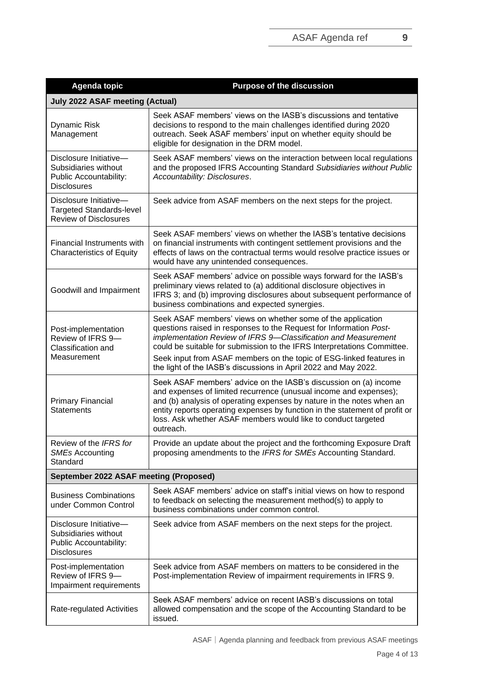| <b>Agenda topic</b>                                                                                   | <b>Purpose of the discussion</b>                                                                                                                                                                                                                                                                                                                                                                                         |
|-------------------------------------------------------------------------------------------------------|--------------------------------------------------------------------------------------------------------------------------------------------------------------------------------------------------------------------------------------------------------------------------------------------------------------------------------------------------------------------------------------------------------------------------|
| <b>July 2022 ASAF meeting (Actual)</b>                                                                |                                                                                                                                                                                                                                                                                                                                                                                                                          |
| <b>Dynamic Risk</b><br>Management                                                                     | Seek ASAF members' views on the IASB's discussions and tentative<br>decisions to respond to the main challenges identified during 2020<br>outreach. Seek ASAF members' input on whether equity should be<br>eligible for designation in the DRM model.                                                                                                                                                                   |
| Disclosure Initiative-<br>Subsidiaries without<br><b>Public Accountability:</b><br><b>Disclosures</b> | Seek ASAF members' views on the interaction between local regulations<br>and the proposed IFRS Accounting Standard Subsidiaries without Public<br>Accountability: Disclosures.                                                                                                                                                                                                                                           |
| Disclosure Initiative-<br><b>Targeted Standards-level</b><br><b>Review of Disclosures</b>             | Seek advice from ASAF members on the next steps for the project.                                                                                                                                                                                                                                                                                                                                                         |
| <b>Financial Instruments with</b><br><b>Characteristics of Equity</b>                                 | Seek ASAF members' views on whether the IASB's tentative decisions<br>on financial instruments with contingent settlement provisions and the<br>effects of laws on the contractual terms would resolve practice issues or<br>would have any unintended consequences.                                                                                                                                                     |
| Goodwill and Impairment                                                                               | Seek ASAF members' advice on possible ways forward for the IASB's<br>preliminary views related to (a) additional disclosure objectives in<br>IFRS 3; and (b) improving disclosures about subsequent performance of<br>business combinations and expected synergies.                                                                                                                                                      |
| Post-implementation<br>Review of IFRS 9-<br>Classification and<br>Measurement                         | Seek ASAF members' views on whether some of the application<br>questions raised in responses to the Request for Information Post-<br>implementation Review of IFRS 9-Classification and Measurement<br>could be suitable for submission to the IFRS Interpretations Committee.<br>Seek input from ASAF members on the topic of ESG-linked features in<br>the light of the IASB's discussions in April 2022 and May 2022. |
| <b>Primary Financial</b><br><b>Statements</b>                                                         | Seek ASAF members' advice on the IASB's discussion on (a) income<br>and expenses of limited recurrence (unusual income and expenses);<br>and (b) analysis of operating expenses by nature in the notes when an<br>entity reports operating expenses by function in the statement of profit or<br>loss. Ask whether ASAF members would like to conduct targeted<br>outreach.                                              |
| Review of the IFRS for<br><b>SMEs Accounting</b><br>Standard                                          | Provide an update about the project and the forthcoming Exposure Draft<br>proposing amendments to the IFRS for SMEs Accounting Standard.                                                                                                                                                                                                                                                                                 |
| September 2022 ASAF meeting (Proposed)                                                                |                                                                                                                                                                                                                                                                                                                                                                                                                          |
| <b>Business Combinations</b><br>under Common Control                                                  | Seek ASAF members' advice on staff's initial views on how to respond<br>to feedback on selecting the measurement method(s) to apply to<br>business combinations under common control.                                                                                                                                                                                                                                    |
| Disclosure Initiative-<br>Subsidiaries without<br>Public Accountability:<br><b>Disclosures</b>        | Seek advice from ASAF members on the next steps for the project.                                                                                                                                                                                                                                                                                                                                                         |
| Post-implementation<br>Review of IFRS 9-<br>Impairment requirements                                   | Seek advice from ASAF members on matters to be considered in the<br>Post-implementation Review of impairment requirements in IFRS 9.                                                                                                                                                                                                                                                                                     |
| Rate-regulated Activities                                                                             | Seek ASAF members' advice on recent IASB's discussions on total<br>allowed compensation and the scope of the Accounting Standard to be<br>issued.                                                                                                                                                                                                                                                                        |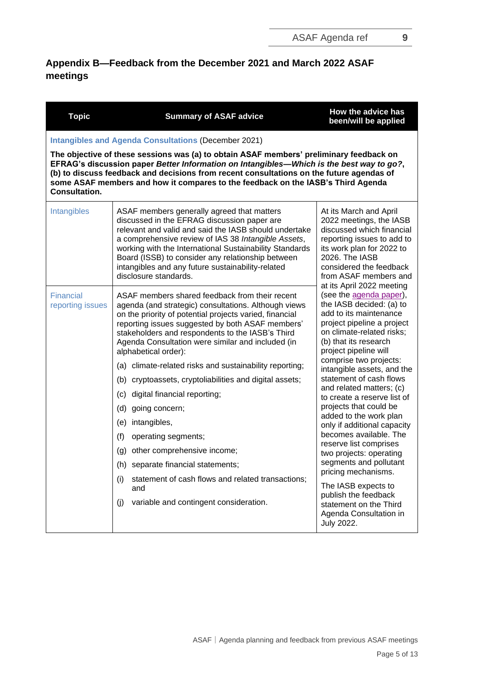# **Appendix B—Feedback from the December 2021 and March 2022 ASAF meetings**

| <b>Topic</b>                                                | <b>Summary of ASAF advice</b>                                                                                                                                                                                                                                                                                                                                                                           | How the advice has<br>been/will be applied                                                                                                                                                                                                   |  |  |  |  |
|-------------------------------------------------------------|---------------------------------------------------------------------------------------------------------------------------------------------------------------------------------------------------------------------------------------------------------------------------------------------------------------------------------------------------------------------------------------------------------|----------------------------------------------------------------------------------------------------------------------------------------------------------------------------------------------------------------------------------------------|--|--|--|--|
| <b>Intangibles and Agenda Consultations (December 2021)</b> |                                                                                                                                                                                                                                                                                                                                                                                                         |                                                                                                                                                                                                                                              |  |  |  |  |
| <b>Consultation.</b>                                        | The objective of these sessions was (a) to obtain ASAF members' preliminary feedback on<br>EFRAG's discussion paper Better Information on Intangibles-Which is the best way to go?,<br>(b) to discuss feedback and decisions from recent consultations on the future agendas of<br>some ASAF members and how it compares to the feedback on the IASB's Third Agenda                                     |                                                                                                                                                                                                                                              |  |  |  |  |
| Intangibles                                                 | ASAF members generally agreed that matters<br>discussed in the EFRAG discussion paper are<br>relevant and valid and said the IASB should undertake<br>a comprehensive review of IAS 38 Intangible Assets,<br>working with the International Sustainability Standards<br>Board (ISSB) to consider any relationship between<br>intangibles and any future sustainability-related<br>disclosure standards. | At its March and April<br>2022 meetings, the IASB<br>discussed which financial<br>reporting issues to add to<br>its work plan for 2022 to<br>2026. The IASB<br>considered the feedback<br>from ASAF members and<br>at its April 2022 meeting |  |  |  |  |
| Financial<br>reporting issues                               | ASAF members shared feedback from their recent<br>agenda (and strategic) consultations. Although views<br>on the priority of potential projects varied, financial<br>reporting issues suggested by both ASAF members'<br>stakeholders and respondents to the IASB's Third<br>Agenda Consultation were similar and included (in<br>alphabetical order):                                                  | (see the agenda paper),<br>the IASB decided: (a) to<br>add to its maintenance<br>project pipeline a project<br>on climate-related risks;<br>(b) that its research<br>project pipeline will                                                   |  |  |  |  |
|                                                             | (a) climate-related risks and sustainability reporting;                                                                                                                                                                                                                                                                                                                                                 | comprise two projects:<br>intangible assets, and the<br>statement of cash flows<br>and related matters; (c)                                                                                                                                  |  |  |  |  |
|                                                             | (b) cryptoassets, cryptoliabilities and digital assets;                                                                                                                                                                                                                                                                                                                                                 |                                                                                                                                                                                                                                              |  |  |  |  |
|                                                             | digital financial reporting;<br>(c)                                                                                                                                                                                                                                                                                                                                                                     | to create a reserve list of                                                                                                                                                                                                                  |  |  |  |  |
|                                                             | (d)<br>going concern;                                                                                                                                                                                                                                                                                                                                                                                   | projects that could be<br>added to the work plan                                                                                                                                                                                             |  |  |  |  |
|                                                             | intangibles,<br>(e)                                                                                                                                                                                                                                                                                                                                                                                     | only if additional capacity                                                                                                                                                                                                                  |  |  |  |  |
|                                                             | (f)<br>operating segments;                                                                                                                                                                                                                                                                                                                                                                              | becomes available. The<br>reserve list comprises                                                                                                                                                                                             |  |  |  |  |
|                                                             | other comprehensive income;<br>(g)                                                                                                                                                                                                                                                                                                                                                                      | two projects: operating                                                                                                                                                                                                                      |  |  |  |  |
|                                                             | (h) separate financial statements;                                                                                                                                                                                                                                                                                                                                                                      | segments and pollutant<br>pricing mechanisms.                                                                                                                                                                                                |  |  |  |  |
|                                                             | statement of cash flows and related transactions;<br>(i)<br>and                                                                                                                                                                                                                                                                                                                                         | The IASB expects to                                                                                                                                                                                                                          |  |  |  |  |
|                                                             | variable and contingent consideration.<br>(i)                                                                                                                                                                                                                                                                                                                                                           | publish the feedback<br>statement on the Third<br>Agenda Consultation in<br><b>July 2022.</b>                                                                                                                                                |  |  |  |  |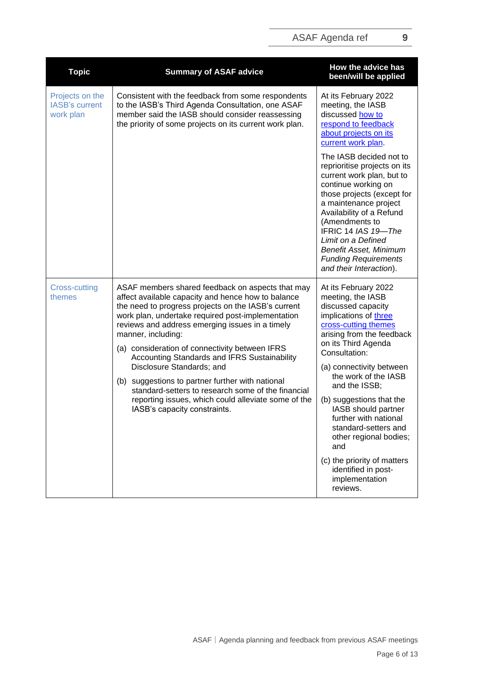| <b>Topic</b>                                          | <b>Summary of ASAF advice</b>                                                                                                                                                                                                                                                                                                                                                                                                                                                                                                                                                                                               | How the advice has<br>been/will be applied                                                                                                                                                                                                                                                                                                                                                                                                                                          |
|-------------------------------------------------------|-----------------------------------------------------------------------------------------------------------------------------------------------------------------------------------------------------------------------------------------------------------------------------------------------------------------------------------------------------------------------------------------------------------------------------------------------------------------------------------------------------------------------------------------------------------------------------------------------------------------------------|-------------------------------------------------------------------------------------------------------------------------------------------------------------------------------------------------------------------------------------------------------------------------------------------------------------------------------------------------------------------------------------------------------------------------------------------------------------------------------------|
| Projects on the<br><b>IASB's current</b><br>work plan | Consistent with the feedback from some respondents<br>to the IASB's Third Agenda Consultation, one ASAF<br>member said the IASB should consider reassessing<br>the priority of some projects on its current work plan.                                                                                                                                                                                                                                                                                                                                                                                                      | At its February 2022<br>meeting, the IASB<br>discussed how to<br>respond to feedback<br>about projects on its<br>current work plan.                                                                                                                                                                                                                                                                                                                                                 |
|                                                       |                                                                                                                                                                                                                                                                                                                                                                                                                                                                                                                                                                                                                             | The IASB decided not to<br>reprioritise projects on its<br>current work plan, but to<br>continue working on<br>those projects (except for<br>a maintenance project<br>Availability of a Refund<br>(Amendments to<br>IFRIC 14 IAS 19-The<br>Limit on a Defined<br><b>Benefit Asset, Minimum</b><br><b>Funding Requirements</b><br>and their Interaction).                                                                                                                            |
| <b>Cross-cutting</b><br>themes                        | ASAF members shared feedback on aspects that may<br>affect available capacity and hence how to balance<br>the need to progress projects on the IASB's current<br>work plan, undertake required post-implementation<br>reviews and address emerging issues in a timely<br>manner, including:<br>(a) consideration of connectivity between IFRS<br>Accounting Standards and IFRS Sustainability<br>Disclosure Standards; and<br>(b) suggestions to partner further with national<br>standard-setters to research some of the financial<br>reporting issues, which could alleviate some of the<br>IASB's capacity constraints. | At its February 2022<br>meeting, the IASB<br>discussed capacity<br>implications of three<br>cross-cutting themes<br>arising from the feedback<br>on its Third Agenda<br>Consultation:<br>(a) connectivity between<br>the work of the IASB<br>and the ISSB;<br>(b) suggestions that the<br>IASB should partner<br>further with national<br>standard-setters and<br>other regional bodies;<br>and<br>(c) the priority of matters<br>identified in post-<br>implementation<br>reviews. |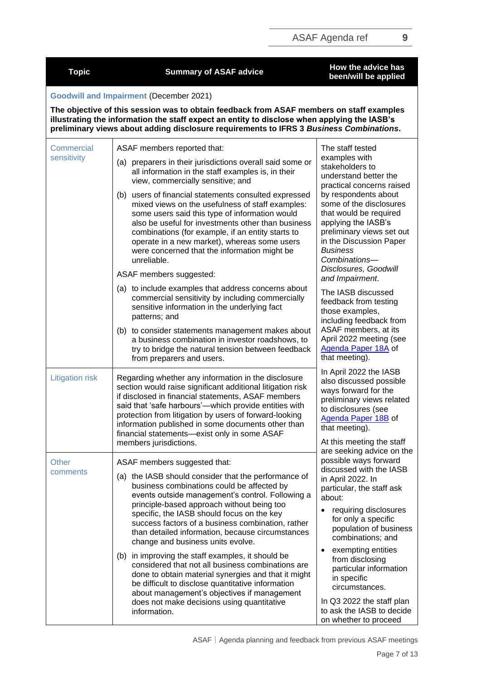| <b>Topic</b>                     | <b>Summary of ASAF advice</b>                                                                                                                                                                                                                                                                                                                                                                    | How the advice has<br>been/will be applied                                                                                                                                                   |  |
|----------------------------------|--------------------------------------------------------------------------------------------------------------------------------------------------------------------------------------------------------------------------------------------------------------------------------------------------------------------------------------------------------------------------------------------------|----------------------------------------------------------------------------------------------------------------------------------------------------------------------------------------------|--|
|                                  | <b>Goodwill and Impairment (December 2021)</b><br>The objective of this session was to obtain feedback from ASAF members on staff examples                                                                                                                                                                                                                                                       |                                                                                                                                                                                              |  |
|                                  | illustrating the information the staff expect an entity to disclose when applying the IASB's<br>preliminary views about adding disclosure requirements to IFRS 3 Business Combinations.                                                                                                                                                                                                          |                                                                                                                                                                                              |  |
| <b>Commercial</b><br>sensitivity | ASAF members reported that:<br>(a) preparers in their jurisdictions overall said some or                                                                                                                                                                                                                                                                                                         | The staff tested<br>examples with<br>stakeholders to                                                                                                                                         |  |
|                                  | all information in the staff examples is, in their<br>view, commercially sensitive; and                                                                                                                                                                                                                                                                                                          | understand better the<br>practical concerns raised                                                                                                                                           |  |
|                                  | (b) users of financial statements consulted expressed<br>mixed views on the usefulness of staff examples:<br>some users said this type of information would<br>also be useful for investments other than business<br>combinations (for example, if an entity starts to<br>operate in a new market), whereas some users<br>were concerned that the information might be<br>unreliable.            | by respondents about<br>some of the disclosures<br>that would be required<br>applying the IASB's<br>preliminary views set out<br>in the Discussion Paper<br><b>Business</b><br>Combinations- |  |
|                                  | ASAF members suggested:                                                                                                                                                                                                                                                                                                                                                                          | Disclosures, Goodwill<br>and Impairment.                                                                                                                                                     |  |
|                                  | (a) to include examples that address concerns about<br>commercial sensitivity by including commercially<br>sensitive information in the underlying fact<br>patterns; and                                                                                                                                                                                                                         | The IASB discussed<br>feedback from testing<br>those examples,<br>including feedback from                                                                                                    |  |
|                                  | (b) to consider statements management makes about<br>a business combination in investor roadshows, to<br>try to bridge the natural tension between feedback<br>from preparers and users.                                                                                                                                                                                                         | ASAF members, at its<br>April 2022 meeting (see<br>Agenda Paper 18A of<br>that meeting).                                                                                                     |  |
| <b>Litigation risk</b>           | Regarding whether any information in the disclosure<br>section would raise significant additional litigation risk<br>if disclosed in financial statements, ASAF members<br>said that 'safe harbours'-which provide entities with<br>protection from litigation by users of forward-looking<br>information published in some documents other than<br>financial statements-exist only in some ASAF | In April 2022 the IASB<br>also discussed possible<br>ways forward for the<br>preliminary views related<br>to disclosures (see<br>Agenda Paper 18B of<br>that meeting).                       |  |
|                                  | members jurisdictions.                                                                                                                                                                                                                                                                                                                                                                           | At this meeting the staff<br>are seeking advice on the                                                                                                                                       |  |
| Other                            | ASAF members suggested that:                                                                                                                                                                                                                                                                                                                                                                     | possible ways forward<br>discussed with the IASB                                                                                                                                             |  |
| comments                         | (a) the IASB should consider that the performance of<br>business combinations could be affected by<br>events outside management's control. Following a                                                                                                                                                                                                                                           | in April 2022. In<br>particular, the staff ask<br>about:                                                                                                                                     |  |
|                                  | principle-based approach without being too<br>specific, the IASB should focus on the key<br>success factors of a business combination, rather<br>than detailed information, because circumstances<br>change and business units evolve.                                                                                                                                                           | requiring disclosures<br>for only a specific<br>population of business<br>combinations; and                                                                                                  |  |
|                                  | (b) in improving the staff examples, it should be<br>considered that not all business combinations are<br>done to obtain material synergies and that it might<br>be difficult to disclose quantitative information<br>about management's objectives if management                                                                                                                                | exempting entities<br>from disclosing<br>particular information<br>in specific<br>circumstances.                                                                                             |  |
|                                  | does not make decisions using quantitative<br>information.                                                                                                                                                                                                                                                                                                                                       | In Q3 2022 the staff plan<br>to ask the IASB to decide<br>on whether to proceed                                                                                                              |  |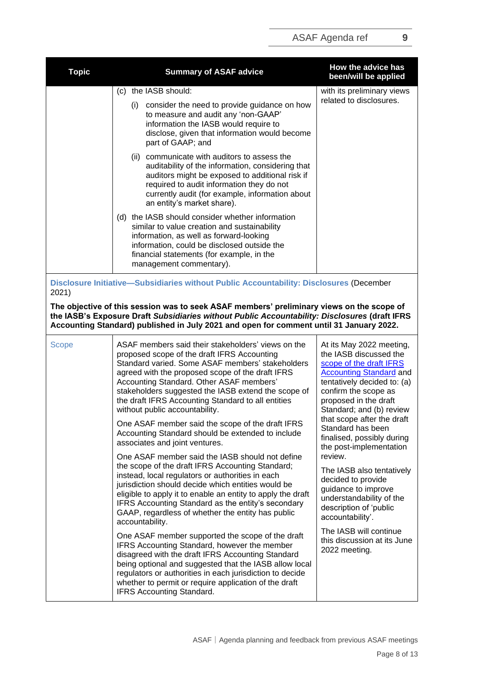| <b>Topic</b> | <b>Summary of ASAF advice</b>                                                                                                                                                                                                                                                                                                                                                                                                                                                                                                                                                                                                                                                                                                                                                                                                                                                                                                                                                                                                                                     | How the advice has<br>been/will be applied                                                                                                                                                                                                                                                                                                                                                                                                                                                                                                                      |
|--------------|-------------------------------------------------------------------------------------------------------------------------------------------------------------------------------------------------------------------------------------------------------------------------------------------------------------------------------------------------------------------------------------------------------------------------------------------------------------------------------------------------------------------------------------------------------------------------------------------------------------------------------------------------------------------------------------------------------------------------------------------------------------------------------------------------------------------------------------------------------------------------------------------------------------------------------------------------------------------------------------------------------------------------------------------------------------------|-----------------------------------------------------------------------------------------------------------------------------------------------------------------------------------------------------------------------------------------------------------------------------------------------------------------------------------------------------------------------------------------------------------------------------------------------------------------------------------------------------------------------------------------------------------------|
|              | (c) the IASB should:                                                                                                                                                                                                                                                                                                                                                                                                                                                                                                                                                                                                                                                                                                                                                                                                                                                                                                                                                                                                                                              | with its preliminary views<br>related to disclosures.                                                                                                                                                                                                                                                                                                                                                                                                                                                                                                           |
|              | (i) consider the need to provide guidance on how<br>to measure and audit any 'non-GAAP'<br>information the IASB would require to<br>disclose, given that information would become<br>part of GAAP; and                                                                                                                                                                                                                                                                                                                                                                                                                                                                                                                                                                                                                                                                                                                                                                                                                                                            |                                                                                                                                                                                                                                                                                                                                                                                                                                                                                                                                                                 |
|              | (ii) communicate with auditors to assess the<br>auditability of the information, considering that<br>auditors might be exposed to additional risk if<br>required to audit information they do not<br>currently audit (for example, information about<br>an entity's market share).                                                                                                                                                                                                                                                                                                                                                                                                                                                                                                                                                                                                                                                                                                                                                                                |                                                                                                                                                                                                                                                                                                                                                                                                                                                                                                                                                                 |
|              | (d) the IASB should consider whether information<br>similar to value creation and sustainability<br>information, as well as forward-looking<br>information, could be disclosed outside the<br>financial statements (for example, in the<br>management commentary).                                                                                                                                                                                                                                                                                                                                                                                                                                                                                                                                                                                                                                                                                                                                                                                                |                                                                                                                                                                                                                                                                                                                                                                                                                                                                                                                                                                 |
| 2021)        | Disclosure Initiative-Subsidiaries without Public Accountability: Disclosures (December                                                                                                                                                                                                                                                                                                                                                                                                                                                                                                                                                                                                                                                                                                                                                                                                                                                                                                                                                                           |                                                                                                                                                                                                                                                                                                                                                                                                                                                                                                                                                                 |
|              | The objective of this session was to seek ASAF members' preliminary views on the scope of<br>the IASB's Exposure Draft Subsidiaries without Public Accountability: Disclosures (draft IFRS<br>Accounting Standard) published in July 2021 and open for comment until 31 January 2022.                                                                                                                                                                                                                                                                                                                                                                                                                                                                                                                                                                                                                                                                                                                                                                             |                                                                                                                                                                                                                                                                                                                                                                                                                                                                                                                                                                 |
| <b>Scope</b> | ASAF members said their stakeholders' views on the<br>proposed scope of the draft IFRS Accounting<br>Standard varied. Some ASAF members' stakeholders<br>agreed with the proposed scope of the draft IFRS<br>Accounting Standard. Other ASAF members'<br>stakeholders suggested the IASB extend the scope of<br>the draft IFRS Accounting Standard to all entities<br>without public accountability.<br>One ASAF member said the scope of the draft IFRS<br>Accounting Standard should be extended to include<br>associates and joint ventures.<br>One ASAF member said the IASB should not define<br>the scope of the draft IFRS Accounting Standard;<br>instead, local regulators or authorities in each<br>jurisdiction should decide which entities would be<br>eligible to apply it to enable an entity to apply the draft<br>IFRS Accounting Standard as the entity's secondary<br>GAAP, regardless of whether the entity has public<br>accountability.<br>One ASAF member supported the scope of the draft<br>IFRS Accounting Standard, however the member | At its May 2022 meeting,<br>the IASB discussed the<br>scope of the draft IFRS<br><b>Accounting Standard and</b><br>tentatively decided to: (a)<br>confirm the scope as<br>proposed in the draft<br>Standard; and (b) review<br>that scope after the draft<br>Standard has been<br>finalised, possibly during<br>the post-implementation<br>review.<br>The IASB also tentatively<br>decided to provide<br>guidance to improve<br>understandability of the<br>description of 'public<br>accountability'.<br>The IASB will continue<br>this discussion at its June |
|              | disagreed with the draft IFRS Accounting Standard<br>being optional and suggested that the IASB allow local<br>regulators or authorities in each jurisdiction to decide<br>whether to permit or require application of the draft<br><b>IFRS Accounting Standard.</b>                                                                                                                                                                                                                                                                                                                                                                                                                                                                                                                                                                                                                                                                                                                                                                                              | 2022 meeting.                                                                                                                                                                                                                                                                                                                                                                                                                                                                                                                                                   |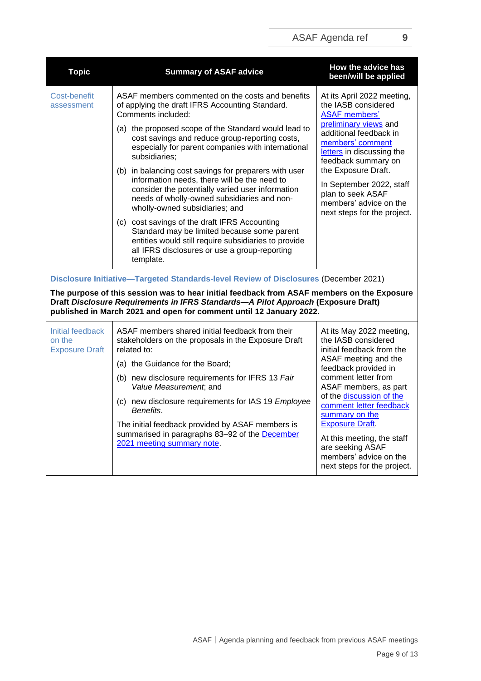| <b>Topic</b>                                                                                                                                                                                                                                           | <b>Summary of ASAF advice</b>                                                                                                                                                                                                              | How the advice has<br>been/will be applied                                                                                                                                                                |  |  |
|--------------------------------------------------------------------------------------------------------------------------------------------------------------------------------------------------------------------------------------------------------|--------------------------------------------------------------------------------------------------------------------------------------------------------------------------------------------------------------------------------------------|-----------------------------------------------------------------------------------------------------------------------------------------------------------------------------------------------------------|--|--|
| <b>Cost-benefit</b><br>assessment                                                                                                                                                                                                                      | ASAF members commented on the costs and benefits<br>of applying the draft IFRS Accounting Standard.<br>Comments included:                                                                                                                  | At its April 2022 meeting,<br>the IASB considered<br><b>ASAF</b> members'                                                                                                                                 |  |  |
|                                                                                                                                                                                                                                                        | (a) the proposed scope of the Standard would lead to<br>cost savings and reduce group-reporting costs,<br>especially for parent companies with international<br>subsidiaries;                                                              | preliminary views and<br>additional feedback in<br>members' comment<br>letters in discussing the                                                                                                          |  |  |
|                                                                                                                                                                                                                                                        | (b) in balancing cost savings for preparers with user<br>information needs, there will be the need to<br>consider the potentially varied user information<br>needs of wholly-owned subsidiaries and non-<br>wholly-owned subsidiaries; and | feedback summary on<br>the Exposure Draft.<br>In September 2022, staff<br>plan to seek ASAF<br>members' advice on the<br>next steps for the project.                                                      |  |  |
|                                                                                                                                                                                                                                                        | (c) cost savings of the draft IFRS Accounting<br>Standard may be limited because some parent<br>entities would still require subsidiaries to provide<br>all IFRS disclosures or use a group-reporting<br>template.                         |                                                                                                                                                                                                           |  |  |
|                                                                                                                                                                                                                                                        | Disclosure Initiative-Targeted Standards-level Review of Disclosures (December 2021)                                                                                                                                                       |                                                                                                                                                                                                           |  |  |
| The purpose of this session was to hear initial feedback from ASAF members on the Exposure<br>Draft Disclosure Requirements in IFRS Standards-A Pilot Approach (Exposure Draft)<br>published in March 2021 and open for comment until 12 January 2022. |                                                                                                                                                                                                                                            |                                                                                                                                                                                                           |  |  |
| Initial feedback<br>on the<br><b>Exposure Draft</b>                                                                                                                                                                                                    | ASAF members shared initial feedback from their<br>stakeholders on the proposals in the Exposure Draft<br>related to:                                                                                                                      | At its May 2022 meeting,<br>the IASB considered<br>initial feedback from the                                                                                                                              |  |  |
|                                                                                                                                                                                                                                                        | (a) the Guidance for the Board;                                                                                                                                                                                                            | ASAF meeting and the<br>feedback provided in                                                                                                                                                              |  |  |
|                                                                                                                                                                                                                                                        | (b) new disclosure requirements for IFRS 13 Fair<br>Value Measurement, and                                                                                                                                                                 | comment letter from<br>ASAF members, as part                                                                                                                                                              |  |  |
|                                                                                                                                                                                                                                                        | (c) new disclosure requirements for IAS 19 Employee<br>Benefits.                                                                                                                                                                           | of the discussion of the<br>comment letter feedback<br>summary on the<br><b>Exposure Draft</b><br>At this meeting, the staff<br>are seeking ASAF<br>members' advice on the<br>next steps for the project. |  |  |
|                                                                                                                                                                                                                                                        | The initial feedback provided by ASAF members is<br>summarised in paragraphs 83-92 of the December<br>2021 meeting summary note.                                                                                                           |                                                                                                                                                                                                           |  |  |

ASAF | Agenda planning and feedback from previous ASAF meetings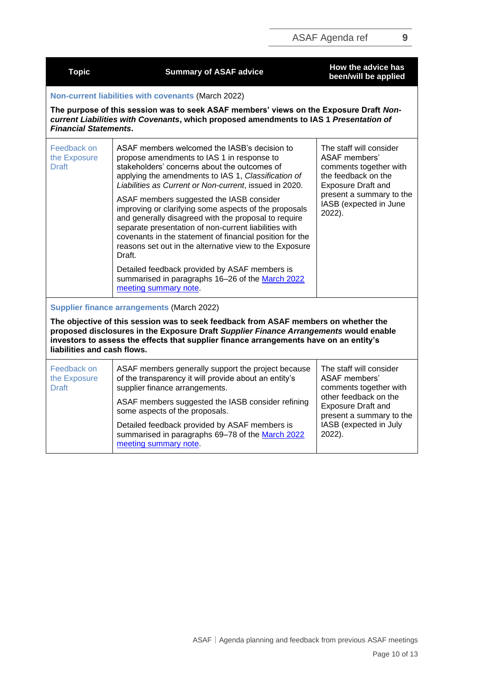| <b>Topic</b>                                | <b>Summary of ASAF advice</b>                                                                                                                                                                                                                                                                                                                       | How the advice has<br>been/will be applied                                                                                                                                                    |  |
|---------------------------------------------|-----------------------------------------------------------------------------------------------------------------------------------------------------------------------------------------------------------------------------------------------------------------------------------------------------------------------------------------------------|-----------------------------------------------------------------------------------------------------------------------------------------------------------------------------------------------|--|
|                                             | Non-current liabilities with covenants (March 2022)                                                                                                                                                                                                                                                                                                 |                                                                                                                                                                                               |  |
| <b>Financial Statements.</b>                | The purpose of this session was to seek ASAF members' views on the Exposure Draft Non-<br>current Liabilities with Covenants, which proposed amendments to IAS 1 Presentation of                                                                                                                                                                    |                                                                                                                                                                                               |  |
| Feedback on<br>the Exposure<br><b>Draft</b> | ASAF members welcomed the IASB's decision to<br>propose amendments to IAS 1 in response to<br>stakeholders' concerns about the outcomes of<br>applying the amendments to IAS 1, Classification of<br>Liabilities as Current or Non-current, issued in 2020.                                                                                         | The staff will consider<br><b>ASAF</b> members'<br>comments together with<br>the feedback on the<br><b>Exposure Draft and</b><br>present a summary to the<br>IASB (expected in June<br>2022). |  |
|                                             | ASAF members suggested the IASB consider<br>improving or clarifying some aspects of the proposals<br>and generally disagreed with the proposal to require<br>separate presentation of non-current liabilities with<br>covenants in the statement of financial position for the<br>reasons set out in the alternative view to the Exposure<br>Draft. |                                                                                                                                                                                               |  |
|                                             | Detailed feedback provided by ASAF members is<br>summarised in paragraphs 16-26 of the March 2022<br>meeting summary note.                                                                                                                                                                                                                          |                                                                                                                                                                                               |  |
|                                             | <b>Supplier finance arrangements (March 2022)</b>                                                                                                                                                                                                                                                                                                   |                                                                                                                                                                                               |  |
| liabilities and cash flows.                 | The objective of this session was to seek feedback from ASAF members on whether the<br>proposed disclosures in the Exposure Draft Supplier Finance Arrangements would enable<br>investors to assess the effects that supplier finance arrangements have on an entity's                                                                              |                                                                                                                                                                                               |  |
| Feedback on<br>the Exposure<br><b>Draft</b> | ASAF members generally support the project because<br>of the transparency it will provide about an entity's<br>supplier finance arrangements.                                                                                                                                                                                                       | The staff will consider<br>ASAF members'<br>comments together with                                                                                                                            |  |
|                                             | ASAF members suggested the IASB consider refining<br>some aspects of the proposals.                                                                                                                                                                                                                                                                 | other feedback on the<br><b>Exposure Draft and</b><br>present a summary to the                                                                                                                |  |
|                                             | Detailed feedback provided by ASAF members is<br>summarised in paragraphs 69-78 of the March 2022<br>meeting summary note.                                                                                                                                                                                                                          | IASB (expected in July<br>2022).                                                                                                                                                              |  |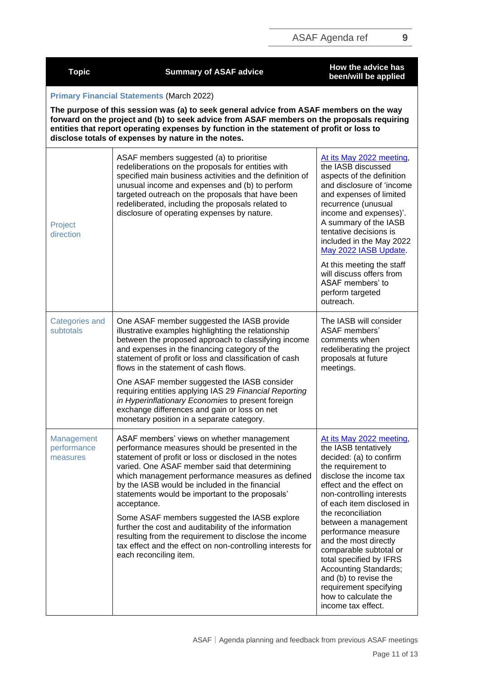| <b>Topic</b>                          | <b>Summary of ASAF advice</b>                                                                                                                                                                                                                                                                                                                                                                                                                                                                                                                                                                                                           | How the advice has<br>been/will be applied                                                                                                                                                                                                                                                                                                                                                                                                                                                             |  |  |
|---------------------------------------|-----------------------------------------------------------------------------------------------------------------------------------------------------------------------------------------------------------------------------------------------------------------------------------------------------------------------------------------------------------------------------------------------------------------------------------------------------------------------------------------------------------------------------------------------------------------------------------------------------------------------------------------|--------------------------------------------------------------------------------------------------------------------------------------------------------------------------------------------------------------------------------------------------------------------------------------------------------------------------------------------------------------------------------------------------------------------------------------------------------------------------------------------------------|--|--|
|                                       | <b>Primary Financial Statements (March 2022)</b><br>The purpose of this session was (a) to seek general advice from ASAF members on the way<br>forward on the project and (b) to seek advice from ASAF members on the proposals requiring<br>entities that report operating expenses by function in the statement of profit or loss to<br>disclose totals of expenses by nature in the notes.                                                                                                                                                                                                                                           |                                                                                                                                                                                                                                                                                                                                                                                                                                                                                                        |  |  |
| Project<br>direction                  | ASAF members suggested (a) to prioritise<br>redeliberations on the proposals for entities with<br>specified main business activities and the definition of<br>unusual income and expenses and (b) to perform<br>targeted outreach on the proposals that have been<br>redeliberated, including the proposals related to<br>disclosure of operating expenses by nature.                                                                                                                                                                                                                                                                   | At its May 2022 meeting,<br>the IASB discussed<br>aspects of the definition<br>and disclosure of 'income<br>and expenses of limited<br>recurrence (unusual<br>income and expenses)'.<br>A summary of the IASB<br>tentative decisions is<br>included in the May 2022<br>May 2022 IASB Update.<br>At this meeting the staff<br>will discuss offers from<br>ASAF members' to<br>perform targeted<br>outreach.                                                                                             |  |  |
| <b>Categories and</b><br>subtotals    | One ASAF member suggested the IASB provide<br>illustrative examples highlighting the relationship<br>between the proposed approach to classifying income<br>and expenses in the financing category of the<br>statement of profit or loss and classification of cash<br>flows in the statement of cash flows.<br>One ASAF member suggested the IASB consider<br>requiring entities applying IAS 29 Financial Reporting<br>in Hyperinflationary Economies to present foreign<br>exchange differences and gain or loss on net<br>monetary position in a separate category.                                                                 | The IASB will consider<br>ASAF members'<br>comments when<br>redeliberating the project<br>proposals at future<br>meetings.                                                                                                                                                                                                                                                                                                                                                                             |  |  |
| Management<br>performance<br>measures | ASAF members' views on whether management<br>performance measures should be presented in the<br>statement of profit or loss or disclosed in the notes<br>varied. One ASAF member said that determining<br>which management performance measures as defined<br>by the IASB would be included in the financial<br>statements would be important to the proposals'<br>acceptance.<br>Some ASAF members suggested the IASB explore<br>further the cost and auditability of the information<br>resulting from the requirement to disclose the income<br>tax effect and the effect on non-controlling interests for<br>each reconciling item. | At its May 2022 meeting,<br>the IASB tentatively<br>decided: (a) to confirm<br>the requirement to<br>disclose the income tax<br>effect and the effect on<br>non-controlling interests<br>of each item disclosed in<br>the reconciliation<br>between a management<br>performance measure<br>and the most directly<br>comparable subtotal or<br>total specified by IFRS<br><b>Accounting Standards;</b><br>and (b) to revise the<br>requirement specifying<br>how to calculate the<br>income tax effect. |  |  |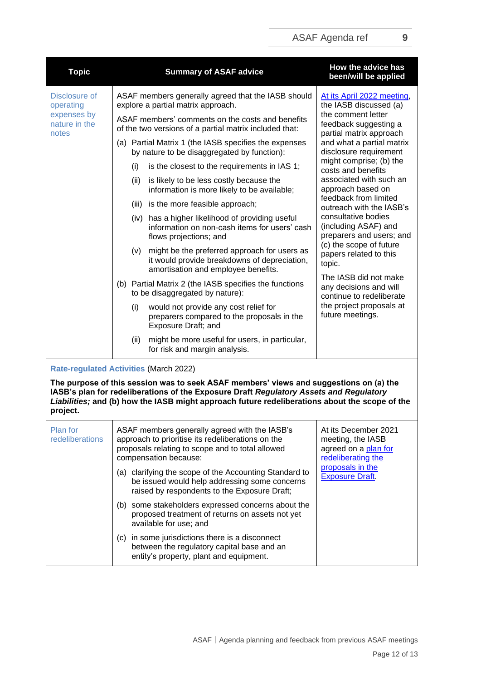| <b>Topic</b>                                  |                                                                                                            |                                                     | <b>Summary of ASAF advice</b>                                                                                                                                                                                                                                                      | How the advice has<br>been/will be applied                                                                                     |
|-----------------------------------------------|------------------------------------------------------------------------------------------------------------|-----------------------------------------------------|------------------------------------------------------------------------------------------------------------------------------------------------------------------------------------------------------------------------------------------------------------------------------------|--------------------------------------------------------------------------------------------------------------------------------|
| Disclosure of<br>operating                    | ASAF members generally agreed that the IASB should<br>explore a partial matrix approach.                   |                                                     |                                                                                                                                                                                                                                                                                    | At its April 2022 meeting,<br>the IASB discussed (a)<br>the comment letter<br>feedback suggesting a<br>partial matrix approach |
| expenses by<br>nature in the<br>notes         | ASAF members' comments on the costs and benefits<br>of the two versions of a partial matrix included that: |                                                     |                                                                                                                                                                                                                                                                                    |                                                                                                                                |
|                                               | (a) Partial Matrix 1 (the IASB specifies the expenses<br>by nature to be disaggregated by function):       | and what a partial matrix<br>disclosure requirement |                                                                                                                                                                                                                                                                                    |                                                                                                                                |
|                                               |                                                                                                            | (i)                                                 | is the closest to the requirements in IAS 1;                                                                                                                                                                                                                                       | might comprise; (b) the<br>costs and benefits                                                                                  |
|                                               |                                                                                                            | (ii)                                                | is likely to be less costly because the<br>information is more likely to be available;                                                                                                                                                                                             | associated with such an<br>approach based on                                                                                   |
|                                               |                                                                                                            | (iii)                                               | is the more feasible approach;                                                                                                                                                                                                                                                     | feedback from limited<br>outreach with the IASB's                                                                              |
|                                               |                                                                                                            |                                                     | (iv) has a higher likelihood of providing useful<br>information on non-cash items for users' cash<br>flows projections; and                                                                                                                                                        | consultative bodies<br>(including ASAF) and<br>preparers and users; and                                                        |
|                                               |                                                                                                            | (v)                                                 | might be the preferred approach for users as<br>it would provide breakdowns of depreciation,<br>amortisation and employee benefits.                                                                                                                                                | (c) the scope of future<br>papers related to this<br>topic.                                                                    |
|                                               |                                                                                                            |                                                     | (b) Partial Matrix 2 (the IASB specifies the functions<br>to be disaggregated by nature):                                                                                                                                                                                          | The IASB did not make<br>any decisions and will<br>continue to redeliberate                                                    |
|                                               |                                                                                                            | (i)                                                 | would not provide any cost relief for<br>preparers compared to the proposals in the<br>Exposure Draft; and                                                                                                                                                                         | the project proposals at<br>future meetings.                                                                                   |
|                                               |                                                                                                            | (ii)                                                | might be more useful for users, in particular,<br>for risk and margin analysis.                                                                                                                                                                                                    |                                                                                                                                |
| <b>Rate-regulated Activities (March 2022)</b> |                                                                                                            |                                                     |                                                                                                                                                                                                                                                                                    |                                                                                                                                |
| project.                                      |                                                                                                            |                                                     | The purpose of this session was to seek ASAF members' views and suggestions on (a) the<br>IASB's plan for redeliberations of the Exposure Draft Regulatory Assets and Regulatory<br>Liabilities; and (b) how the IASB might approach future redeliberations about the scope of the |                                                                                                                                |
| Plan for<br>redeliberations                   |                                                                                                            |                                                     | ASAF members generally agreed with the IASB's<br>approach to prioritise its redeliberations on the<br>proposals relating to scope and to total allowed<br>compensation because:                                                                                                    | At its December 2021<br>meeting, the IASB<br>agreed on a plan for<br>redeliberating the                                        |
|                                               |                                                                                                            |                                                     | (a) clarifying the scope of the Accounting Standard to<br>be issued would help addressing some concerns                                                                                                                                                                            | proposals in the<br><b>Exposure Draft.</b>                                                                                     |

raised by respondents to the Exposure Draft; (b) some stakeholders expressed concerns about the proposed treatment of returns on assets not yet available for use; and (c) in some jurisdictions there is a disconnect

between the regulatory capital base and an entity's property, plant and equipment.